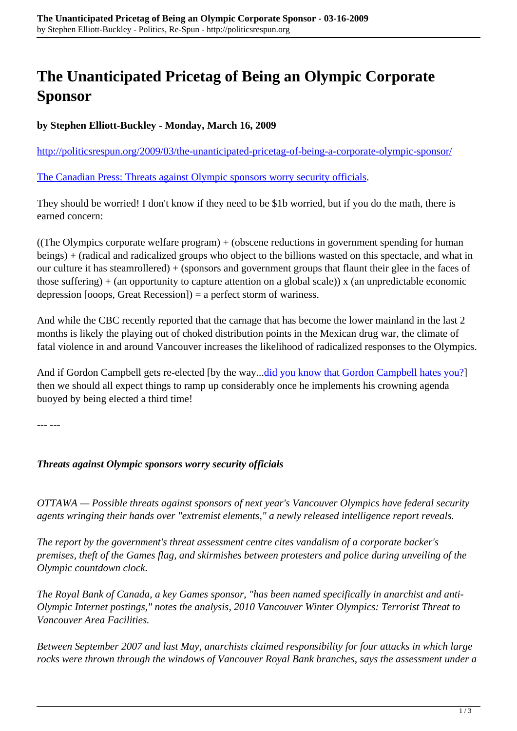## **The Unanticipated Pricetag of Being an Olympic Corporate Sponsor**

**by Stephen Elliott-Buckley - Monday, March 16, 2009**

<http://politicsrespun.org/2009/03/the-unanticipated-pricetag-of-being-a-corporate-olympic-sponsor/>

[The Canadian Press: Threats against Olympic sponsors worry security officials](http://www.google.com/hostednews/canadianpress/article/ALeqM5g3g-mokNaFezhREFUQ_8vvj8kzFg).

They should be worried! I don't know if they need to be \$1b worried, but if you do the math, there is earned concern:

((The Olympics corporate welfare program) + (obscene reductions in government spending for human beings) + (radical and radicalized groups who object to the billions wasted on this spectacle, and what in our culture it has steamrollered) + (sponsors and government groups that flaunt their glee in the faces of those suffering)  $+$  (an opportunity to capture attention on a global scale)) x (an unpredictable economic depression [ooops, Great Recession]) = a perfect storm of wariness.

And while the CBC recently reported that the carnage that has become the lower mainland in the last 2 months is likely the playing out of choked distribution points in the Mexican drug war, the climate of fatal violence in and around Vancouver increases the likelihood of radicalized responses to the Olympics.

And if Gordon Campbell gets re-elected [by the way... did you know that Gordon Campbell hates you?] then we should all expect things to ramp up considerably once he implements his crowning agenda buoyed by being elected a third time!

--- ---

*Threats against Olympic sponsors worry security officials*

*OTTAWA — Possible threats against sponsors of next year's Vancouver Olympics have federal security agents wringing their hands over "extremist elements," a newly released intelligence report reveals.*

*The report by the government's threat assessment centre cites vandalism of a corporate backer's premises, theft of the Games flag, and skirmishes between protesters and police during unveiling of the Olympic countdown clock.*

*The Royal Bank of Canada, a key Games sponsor, "has been named specifically in anarchist and anti-Olympic Internet postings," notes the analysis, 2010 Vancouver Winter Olympics: Terrorist Threat to Vancouver Area Facilities.*

*Between September 2007 and last May, anarchists claimed responsibility for four attacks in which large rocks were thrown through the windows of Vancouver Royal Bank branches, says the assessment under a*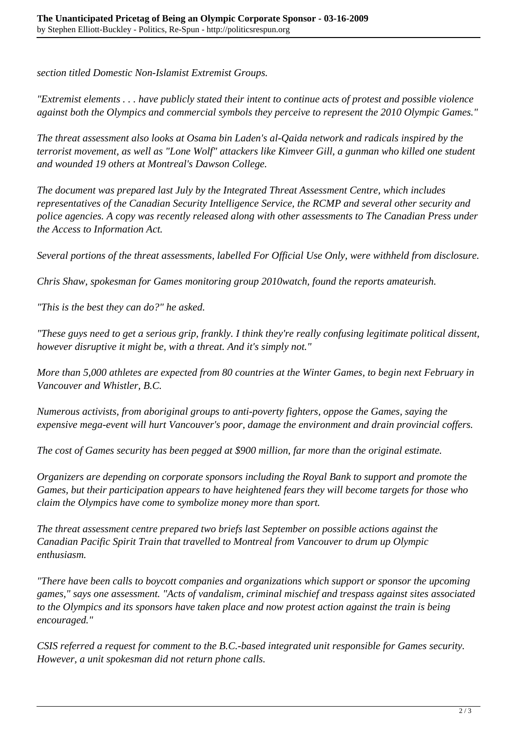*section titled Domestic Non-Islamist Extremist Groups.*

*"Extremist elements . . . have publicly stated their intent to continue acts of protest and possible violence against both the Olympics and commercial symbols they perceive to represent the 2010 Olympic Games."*

*The threat assessment also looks at Osama bin Laden's al-Qaida network and radicals inspired by the terrorist movement, as well as "Lone Wolf" attackers like Kimveer Gill, a gunman who killed one student and wounded 19 others at Montreal's Dawson College.*

*The document was prepared last July by the Integrated Threat Assessment Centre, which includes representatives of the Canadian Security Intelligence Service, the RCMP and several other security and police agencies. A copy was recently released along with other assessments to The Canadian Press under the Access to Information Act.*

*Several portions of the threat assessments, labelled For Official Use Only, were withheld from disclosure.*

*Chris Shaw, spokesman for Games monitoring group 2010watch, found the reports amateurish.*

*"This is the best they can do?" he asked.*

*"These guys need to get a serious grip, frankly. I think they're really confusing legitimate political dissent, however disruptive it might be, with a threat. And it's simply not."*

*More than 5,000 athletes are expected from 80 countries at the Winter Games, to begin next February in Vancouver and Whistler, B.C.*

*Numerous activists, from aboriginal groups to anti-poverty fighters, oppose the Games, saying the expensive mega-event will hurt Vancouver's poor, damage the environment and drain provincial coffers.*

*The cost of Games security has been pegged at \$900 million, far more than the original estimate.*

*Organizers are depending on corporate sponsors including the Royal Bank to support and promote the Games, but their participation appears to have heightened fears they will become targets for those who claim the Olympics have come to symbolize money more than sport.*

*The threat assessment centre prepared two briefs last September on possible actions against the Canadian Pacific Spirit Train that travelled to Montreal from Vancouver to drum up Olympic enthusiasm.*

*"There have been calls to boycott companies and organizations which support or sponsor the upcoming games," says one assessment. "Acts of vandalism, criminal mischief and trespass against sites associated to the Olympics and its sponsors have taken place and now protest action against the train is being encouraged."*

*CSIS referred a request for comment to the B.C.-based integrated unit responsible for Games security. However, a unit spokesman did not return phone calls.*